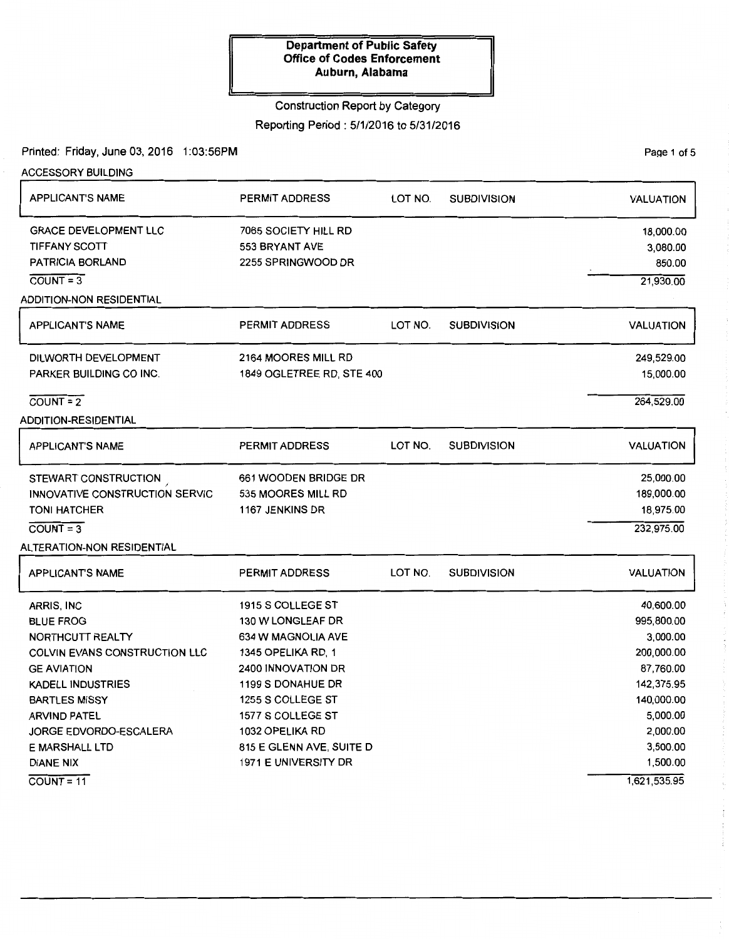### Construction Report by Category

Reporting Period: 5/1/2016 to 5/31/2016

Printed: Friday, June 03, 2016 1:03:56PM

ACCESSORY BUILDING APPLICANT'S NAME GRACE DEVELOPMENT LLC TIFFANY SCOTI PATRICIA BORLAND  $COUNT = 3$ ADDITION-NON RESIDENTIAL APPLICANT'S NAME DILWORTH DEVELOPMENT PARKER BUILDING CO INC.  $\overline{C}$ OUNT = 2 ADDITION-RESIDENTIAL APPLICANT'S NAME STEWART CONSTRUCTION INNOVATIVE CONSTRUCTION SERVIC TONI HATCHER  $COUNT = 3$ ALTERATION-NON RESIDENTIAL APPLICANT'S NAME ARRIS, INC BLUE FROG NORTHCUTT REALTY COLVIN EVANS CONSTRUCTION LLC GEAVIATION KADELL INDUSTRIES BARTLES MISSY ARVIND PATEL JORGE EDVORDO-ESCALERA E MARSHALL LTD DIANE NIX  $COUNT = 11$ PERMIT ADDRESS 7065 SOCIETY HILL RD 553 BRYANT AVE 2255 SPRINGWOOD DR PERMIT ADDRESS 2164 MOORES MILL RD 1849 OGLETREE RD, STE 400 PERMIT ADDRESS 661 WOODEN BRIDGE DR 535 MOORES MILL RD 1167 JENKINS DR PERMIT ADDRESS 1915 S COLLEGE ST 130 W LONGLEAF DR 634 W MAGNOLIA AVE 1345 OPELIKA RD, 1 2400 INNOVATION DR 1199 S DONAHUE DR 1255 S COLLEGE ST 1577 S COLLEGE ST 1032 OPELIKA RD 815 E GLENN AVE, SUITE D 1971 E UNIVERSITY DR LOT NO. SUBDIVISION LOT NO. SUBDIVISION LOT NO. SUBDIVISION LOT NO. SUBDIVISION VALUATION 18,000.00 3,080.00 850.00 21,930.00 VALUATION 249,529.00 15,000.00 264,529.00 VALUATION 25,000.00 189,000.00 18,975.00 232,975.00 VALUATION 40,600.00 995,800.00 3,000.00 200,000.00 87,760.00 142,375.95 140,000.00 5,000.00 2,000.00 3,500.00 1,500.00 1,621,535.95

Page 1 of 5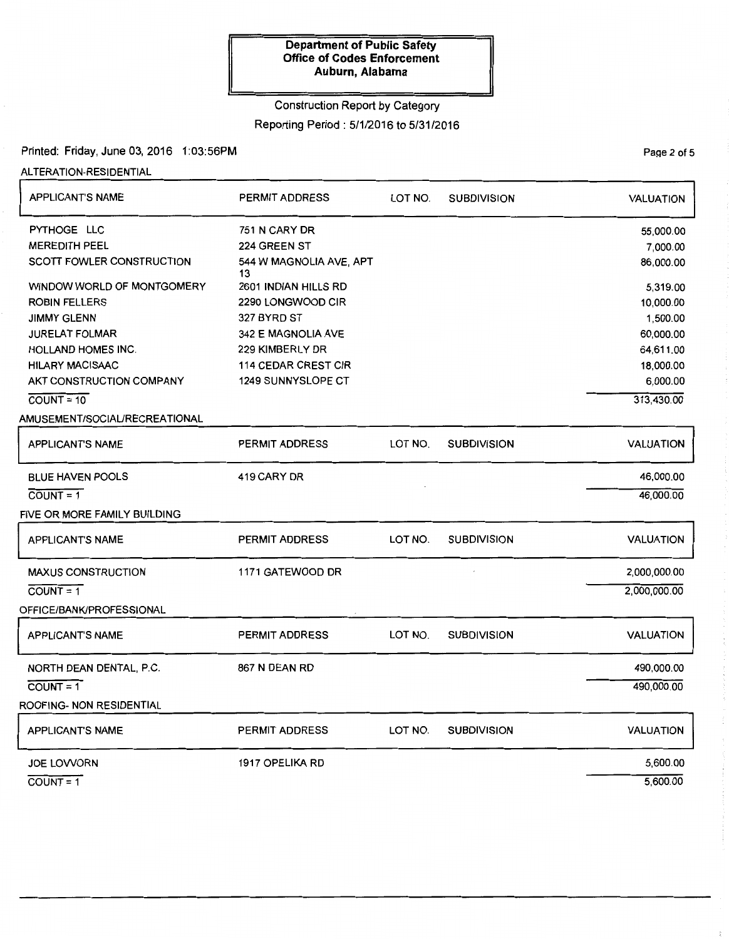# Construction Report by Category

Reporting Period : 5/1/2016 to 5/31/2016

### Printed: Friday, June 03, 2016 1:03:56PM

ALTERATION-RESIDENTIAL

| <b>APPLICANT'S NAME</b>          | PERMIT ADDRESS                | LOT NO. | <b>SUBDIVISION</b> | <b>VALUATION</b> |
|----------------------------------|-------------------------------|---------|--------------------|------------------|
| PYTHOGE LLC                      | 751 N CARY DR                 |         |                    | 55,000.00        |
| <b>MEREDITH PEEL</b>             | 224 GREEN ST                  |         |                    | 7,000.00         |
| <b>SCOTT FOWLER CONSTRUCTION</b> | 544 W MAGNOLIA AVE, APT<br>13 |         |                    | 86,000.00        |
| WINDOW WORLD OF MONTGOMERY       | 2601 INDIAN HILLS RD          |         |                    | 5,319.00         |
| <b>ROBIN FELLERS</b>             | 2290 LONGWOOD CIR             |         |                    | 10,000.00        |
| <b>JIMMY GLENN</b>               | 327 BYRD ST                   |         |                    | 1,500.00         |
| <b>JURELAT FOLMAR</b>            | 342 E MAGNOLIA AVE            |         |                    | 60,000.00        |
| <b>HOLLAND HOMES INC.</b>        | 229 KIMBERLY DR               |         |                    | 64,611.00        |
| <b>HILARY MACISAAC</b>           | <b>114 CEDAR CREST CIR</b>    |         |                    | 18,000.00        |
| AKT CONSTRUCTION COMPANY         | 1249 SUNNYSLOPE CT            |         |                    | 6,000.00         |
| $COUNT = 10$                     |                               |         |                    | 313,430.00       |
| AMUSEMENT/SOCIAL/RECREATIONAL    |                               |         |                    |                  |
| <b>APPLICANT'S NAME</b>          | PERMIT ADDRESS                | LOT NO. | <b>SUBDIVISION</b> | <b>VALUATION</b> |
| <b>BLUE HAVEN POOLS</b>          | 419 CARY DR                   |         |                    | 46,000.00        |
| $COUNT = 1$                      |                               |         |                    | 46,000.00        |
| FIVE OR MORE FAMILY BUILDING     |                               |         |                    |                  |
| <b>APPLICANT'S NAME</b>          | <b>PERMIT ADDRESS</b>         | LOT NO. | <b>SUBDIVISION</b> | <b>VALUATION</b> |
| <b>MAXUS CONSTRUCTION</b>        | 1171 GATEWOOD DR              |         |                    | 2,000,000.00     |
| $\overline{COUNT} = 1$           |                               |         |                    | 2,000,000.00     |
| OFFICE/BANK/PROFESSIONAL         |                               |         |                    |                  |
| <b>APPLICANT'S NAME</b>          | <b>PERMIT ADDRESS</b>         | LOT NO. | <b>SUBDIVISION</b> | <b>VALUATION</b> |
| NORTH DEAN DENTAL, P.C.          | 867 N DEAN RD                 |         |                    | 490,000.00       |
| $COUNT = 1$                      |                               |         |                    | 490,000.00       |
| ROOFING- NON RESIDENTIAL         |                               |         |                    |                  |
| <b>APPLICANT'S NAME</b>          | <b>PERMIT ADDRESS</b>         | LOT NO. | <b>SUBDIVISION</b> | <b>VALUATION</b> |
| <b>JOE LOVVORN</b>               | 1917 OPELIKA RD               |         |                    | 5,600.00         |
| $COUNT = 1$                      |                               |         |                    | 5,600.00         |

PaQe 2 of 5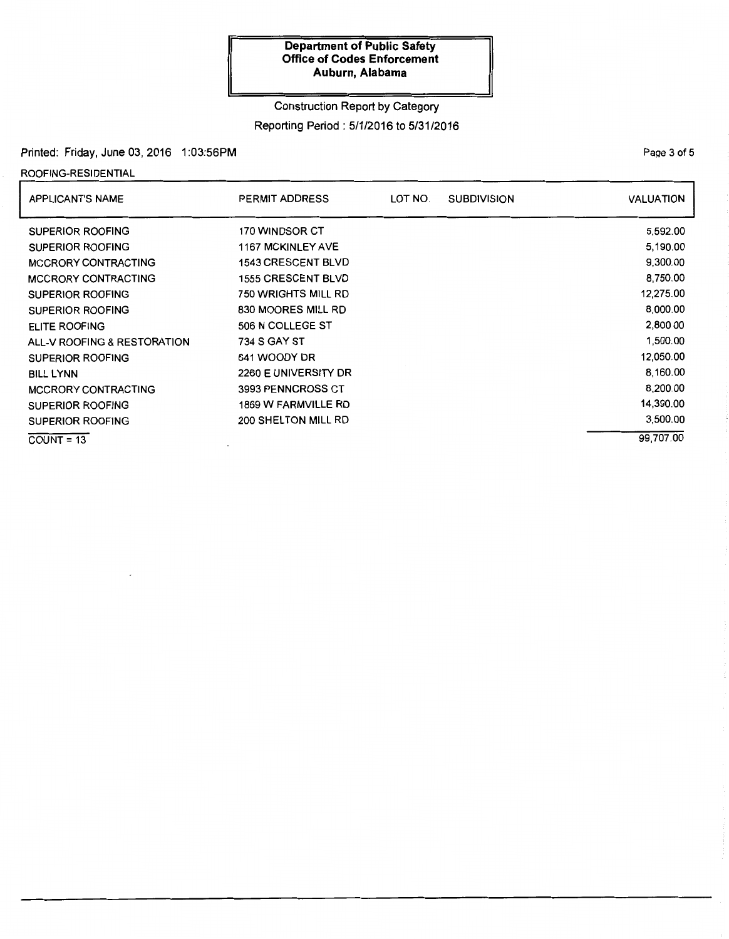## Construction Report by Category Reporting Period: 5/1/2016 to 5/31/2016

### Printed: Friday, June 03, 2016 1:03:56PM

## ROOFING-RESIDENTIAL

| <b>APPLICANT'S NAME</b>     | <b>PERMIT ADDRESS</b>      | LOT NO. | <b>SUBDIVISION</b> | <b>VALUATION</b> |
|-----------------------------|----------------------------|---------|--------------------|------------------|
| <b>SUPERIOR ROOFING</b>     | 170 WINDSOR CT             |         |                    | 5,592.00         |
| <b>SUPERIOR ROOFING</b>     | <b>1167 MCKINLEY AVE</b>   |         |                    | 5,190.00         |
| <b>MCCRORY CONTRACTING</b>  | <b>1543 CRESCENT BLVD</b>  |         |                    | 9,300.00         |
| <b>MCCRORY CONTRACTING</b>  | <b>1555 CRESCENT BLVD</b>  |         |                    | 8,750.00         |
| <b>SUPERIOR ROOFING</b>     | 750 WRIGHTS MILL RD        |         |                    | 12,275.00        |
| <b>SUPERIOR ROOFING</b>     | 830 MOORES MILL RD         |         |                    | 8,000.00         |
| ELITE ROOFING               | 506 N COLLEGE ST           |         |                    | 2,800.00         |
| ALL-V ROOFING & RESTORATION | 734 S GAY ST               |         |                    | 1,500.00         |
| <b>SUPERIOR ROOFING</b>     | 641 WOODY DR               |         |                    | 12,050.00        |
| <b>BILL LYNN</b>            | 2260 E UNIVERSITY DR       |         |                    | 8,160.00         |
| MCCRORY CONTRACTING         | 3993 PENNCROSS CT          |         |                    | 8,200.00         |
| <b>SUPERIOR ROOFING</b>     | <b>1869 W FARMVILLE RD</b> |         |                    | 14,390.00        |
| <b>SUPERIOR ROOFING</b>     | 200 SHELTON MILL RD        |         |                    | 3,500.00         |
| $COUNT = 13$                |                            |         |                    | 99,707.00        |

Page 3 of 5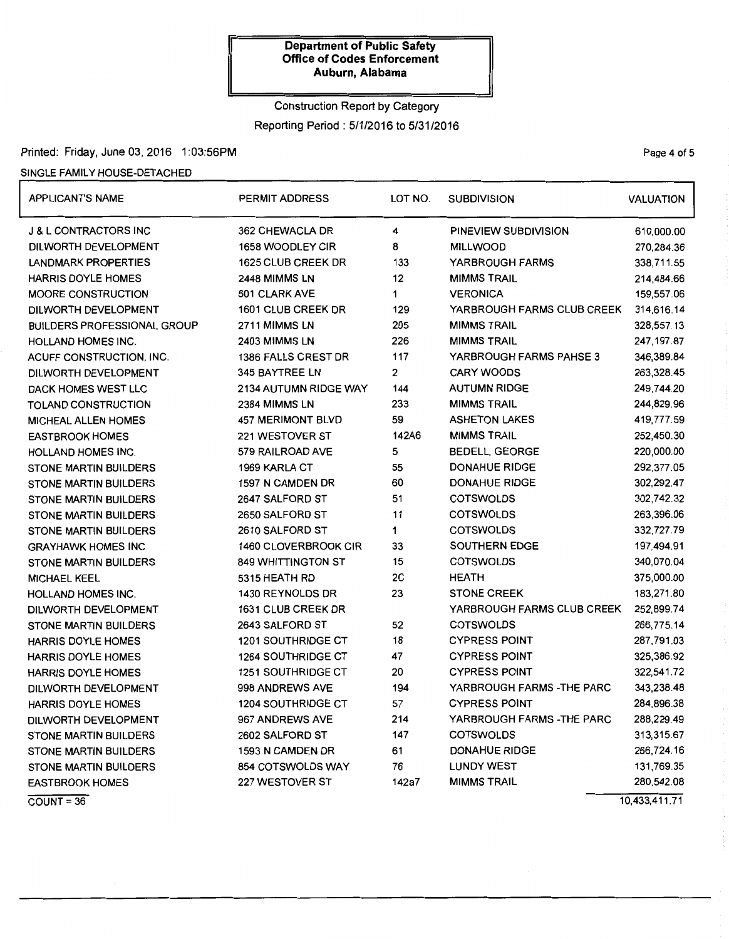## Construction Report by Category Reporting Period: 5/1/2016 to 5/31/2016

### Printed: Friday, June 03, 2016 1:03:56PM

## SINGLE FAMILY HOUSE-DETACHED

| <b>APPLICANT'S NAME</b>            | <b>PERMIT ADDRESS</b>     | LOT NO. | <b>SUBDIVISION</b>         | <b>VALUATION</b> |
|------------------------------------|---------------------------|---------|----------------------------|------------------|
| <b>J &amp; L CONTRACTORS INC</b>   | 362 CHEWACLA DR           | 4       | PINEVIEW SUBDIVISION       | 610,000.00       |
| DILWORTH DEVELOPMENT               | 1658 WOODLEY CIR          | 8       | <b>MILLWOOD</b>            | 270,284.36       |
| <b>LANDMARK PROPERTIES</b>         | 1625 CLUB CREEK DR        | 133     | YARBROUGH FARMS            | 338,711.55       |
| <b>HARRIS DOYLE HOMES</b>          | 2448 MIMMS LN             | 12      | <b>MIMMS TRAIL</b>         | 214,484.66       |
| MOORE CONSTRUCTION                 | 601 CLARK AVE             | 1       | <b>VERONICA</b>            | 159,557.06       |
| DILWORTH DEVELOPMENT               | 1601 CLUB CREEK DR        | 129     | YARBROUGH FARMS CLUB CREEK | 314,616.14       |
| <b>BUILDERS PROFESSIONAL GROUP</b> | 2711 MIMMS LN             | 205     | <b>MIMMS TRAIL</b>         | 328,557.13       |
| <b>HOLLAND HOMES INC.</b>          | 2403 MIMMS LN             | 226     | <b>MIMMS TRAIL</b>         | 247, 197.87      |
| ACUFF CONSTRUCTION, INC.           | 1386 FALLS CREST DR       | 117     | YARBROUGH FARMS PAHSE 3    | 346,389.84       |
| DILWORTH DEVELOPMENT               | 345 BAYTREE LN            | 2       | <b>CARY WOODS</b>          | 263,328.45       |
| DACK HOMES WEST LLC                | 2134 AUTUMN RIDGE WAY     | 144     | <b>AUTUMN RIDGE</b>        | 249,744.20       |
| TOLAND CONSTRUCTION                | 2384 MIMMS LN             | 233     | <b>MIMMS TRAIL</b>         | 244,829.96       |
| <b>MICHEAL ALLEN HOMES</b>         | <b>457 MERIMONT BLVD</b>  | 59      | <b>ASHETON LAKES</b>       | 419,777.59       |
| <b>EASTBROOK HOMES</b>             | 221 WESTOVER ST           | 142A6   | <b>MIMMS TRAIL</b>         | 252,450.30       |
| <b>HOLLAND HOMES INC.</b>          | 579 RAILROAD AVE          | 5       | <b>BEDELL, GEORGE</b>      | 220,000.00       |
| <b>STONE MARTIN BUILDERS</b>       | 1969 KARLA CT             | 55      | <b>DONAHUE RIDGE</b>       | 292,377.05       |
| <b>STONE MARTIN BUILDERS</b>       | 1597 N CAMDEN DR          | 60      | <b>DONAHUE RIDGE</b>       | 302,292.47       |
| <b>STONE MARTIN BUILDERS</b>       | 2647 SALFORD ST           | 51      | <b>COTSWOLDS</b>           | 302,742.32       |
| <b>STONE MARTIN BUILDERS</b>       | 2650 SALFORD ST           | 11      | <b>COTSWOLDS</b>           | 263,396.06       |
| <b>STONE MARTIN BUILDERS</b>       | 2610 SALFORD ST           | 1       | <b>COTSWOLDS</b>           | 332,727.79       |
| <b>GRAYHAWK HOMES INC</b>          | 1460 CLOVERBROOK CIR      | 33      | <b>SOUTHERN EDGE</b>       | 197,494.91       |
| <b>STONE MARTIN BUILDERS</b>       | 849 WHITTINGTON ST        | 15      | <b>COTSWOLDS</b>           | 340,070.04       |
| <b>MICHAEL KEEL</b>                | 5315 HEATH RD             | 2C      | HEATH                      | 375,000.00       |
| <b>HOLLAND HOMES INC.</b>          | 1430 REYNOLDS DR          | 23      | <b>STONE CREEK</b>         | 183,271.80       |
| DILWORTH DEVELOPMENT               | 1631 CLUB CREEK DR        |         | YARBROUGH FARMS CLUB CREEK | 252,899.74       |
| STONE MARTIN BUILDERS              | 2643 SALFORD ST           | 52      | <b>COTSWOLDS</b>           |                  |
| HARRIS DOYLE HOMES                 | 1201 SOUTHRIDGE CT        | 18      | <b>CYPRESS POINT</b>       | 287,791.03       |
| <b>HARRIS DOYLE HOMES</b>          | <b>1264 SOUTHRIDGE CT</b> | 47      | <b>CYPRESS POINT</b>       | 325,386.92       |
| <b>HARRIS DOYLE HOMES</b>          | <b>1251 SOUTHRIDGE CT</b> | 20      | <b>CYPRESS POINT</b>       | 322,541.72       |
| DILWORTH DEVELOPMENT               | 998 ANDREWS AVE           | 194     | YARBROUGH FARMS - THE PARC | 343,238.48       |
| HARRIS DOYLE HOMES                 | <b>1204 SOUTHRIDGE CT</b> | 57      | <b>CYPRESS POINT</b>       | 284,896.38       |
| DILWORTH DEVELOPMENT               | 967 ANDREWS AVE           | 214     | YARBROUGH FARMS - THE PARC | 288,229.49       |
| <b>STONE MARTIN BUILDERS</b>       | 2602 SALFORD ST           | 147     | <b>COTSWOLDS</b>           | 313,315.67       |
| <b>STONE MARTIN BUILDERS</b>       | 1593 N CAMDEN DR          | 61      | <b>DONAHUE RIDGE</b>       | 266,724.16       |
| <b>STONE MARTIN BUILDERS</b>       | 854 COTSWOLDS WAY         | 76      | <b>LUNDY WEST</b>          | 131,769.35       |
| <b>EASTBROOK HOMES</b>             | 227 WESTOVER ST           | 142a7   | <b>MIMMS TRAIL</b>         | 280,542.08       |
| $COUNT = 36$                       |                           |         |                            | 10,433,411.71    |

PaQe 4 of 5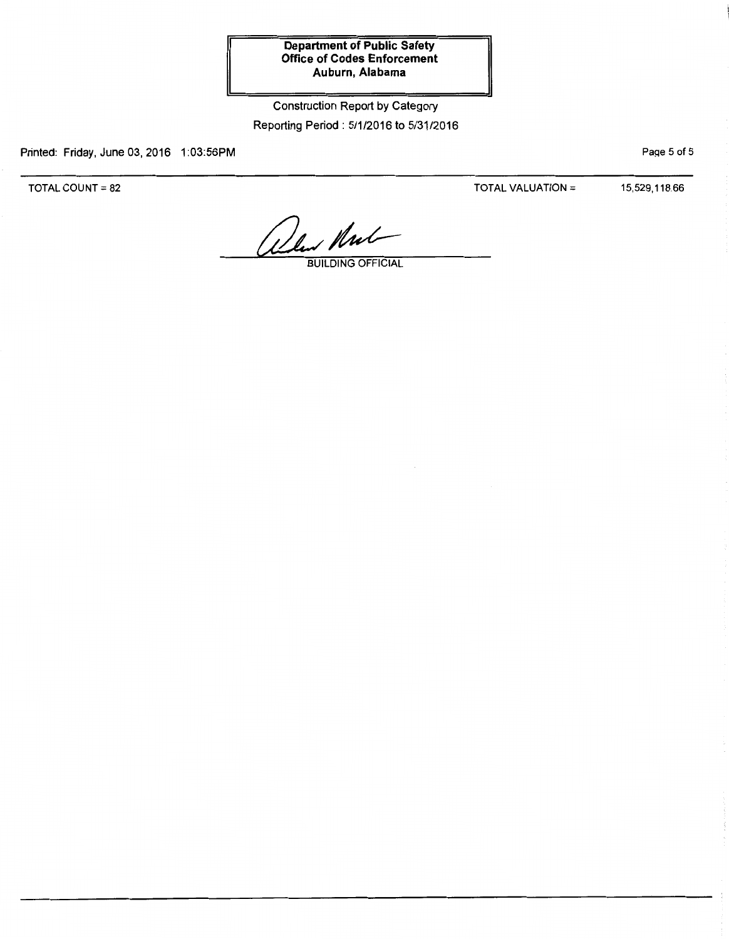## Construction Report by Category Reporting Period: 5/1/2016 to 5/31/2016

Printed: Friday, June 03, 2016 1:03:56PM

TOTAL COUNT= 82

TOTAL VALUATION =  $15,529,118.66$ 

PaQe 5 of 5

What Mul

BUILDING OFFICIAL